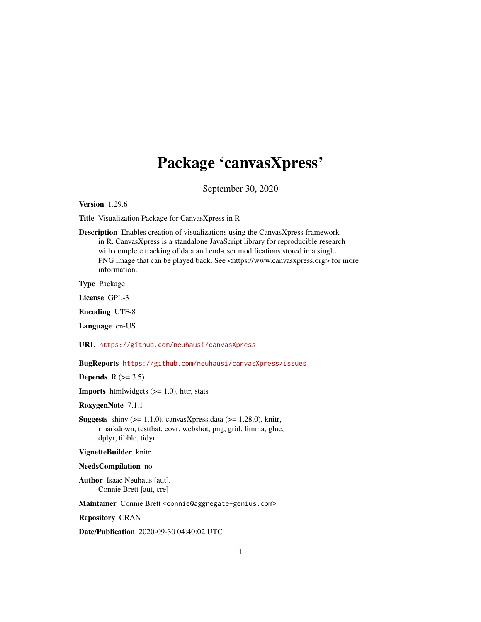## Package 'canvasXpress'

September 30, 2020

Version 1.29.6

Title Visualization Package for CanvasXpress in R

Description Enables creation of visualizations using the CanvasXpress framework in R. CanvasXpress is a standalone JavaScript library for reproducible research with complete tracking of data and end-user modifications stored in a single PNG image that can be played back. See <https://www.canvasxpress.org> for more information.

Type Package

License GPL-3

Encoding UTF-8

Language en-US

URL <https://github.com/neuhausi/canvasXpress>

BugReports <https://github.com/neuhausi/canvasXpress/issues>

Depends  $R$  ( $>= 3.5$ )

**Imports** htmlwidgets  $(>= 1.0)$ , httr, stats

RoxygenNote 7.1.1

**Suggests** shiny  $(>= 1.1.0)$ , canvasXpress.data  $(>= 1.28.0)$ , knitr, rmarkdown, testthat, covr, webshot, png, grid, limma, glue, dplyr, tibble, tidyr

VignetteBuilder knitr

#### NeedsCompilation no

Author Isaac Neuhaus [aut], Connie Brett [aut, cre]

Maintainer Connie Brett <connie@aggregate-genius.com>

Repository CRAN

Date/Publication 2020-09-30 04:40:02 UTC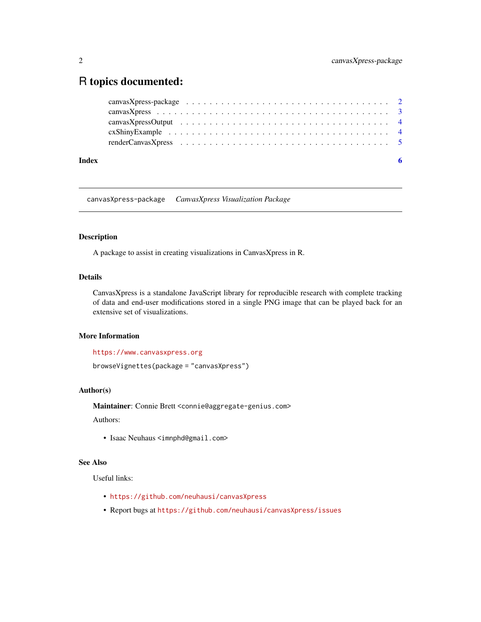### <span id="page-1-0"></span>R topics documented:

| Index | -6 |
|-------|----|

canvasXpress-package *CanvasXpress Visualization Package*

#### Description

A package to assist in creating visualizations in CanvasXpress in R.

#### Details

CanvasXpress is a standalone JavaScript library for reproducible research with complete tracking of data and end-user modifications stored in a single PNG image that can be played back for an extensive set of visualizations.

#### More Information

```
https://www.canvasxpress.org
```
browseVignettes(package = "canvasXpress")

#### Author(s)

Maintainer: Connie Brett <connie@aggregate-genius.com>

Authors:

• Isaac Neuhaus <imnphd@gmail.com>

#### See Also

Useful links:

- <https://github.com/neuhausi/canvasXpress>
- Report bugs at <https://github.com/neuhausi/canvasXpress/issues>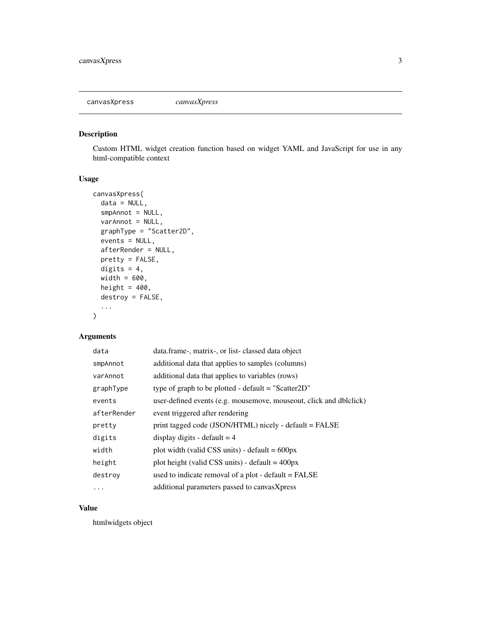<span id="page-2-0"></span>canvasXpress *canvasXpress*

#### Description

Custom HTML widget creation function based on widget YAML and JavaScript for use in any html-compatible context

#### Usage

```
canvasXpress(
  data = NULL,
  smpAnnot = NULL,
 varAnnot = NULL,
  graphType = "Scatter2D",
  events = NULL,
  afterRender = NULL,
 pretty = FALSE,
 digits = 4,
 width = 600,
 height = 400,
 destroy = FALSE,
  ...
)
```
#### Arguments

| data        | data.frame-, matrix-, or list-classed data object                  |
|-------------|--------------------------------------------------------------------|
| smpAnnot    | additional data that applies to samples (columns)                  |
| varAnnot    | additional data that applies to variables (rows)                   |
| graphType   | type of graph to be plotted - default $=$ "Scatter 2D"             |
| events      | user-defined events (e.g. mousemove, mouseout, click and dblclick) |
| afterRender | event triggered after rendering                                    |
| pretty      | print tagged code (JSON/HTML) nicely - default = FALSE             |
| digits      | display digits - default $=$ 4                                     |
| width       | plot width (valid CSS units) - default $= 600px$                   |
| height      | plot height (valid CSS units) - default = $400px$                  |
| destroy     | used to indicate removal of a plot - default = FALSE               |
| $\ddotsc$   | additional parameters passed to canvasXpress                       |

#### Value

htmlwidgets object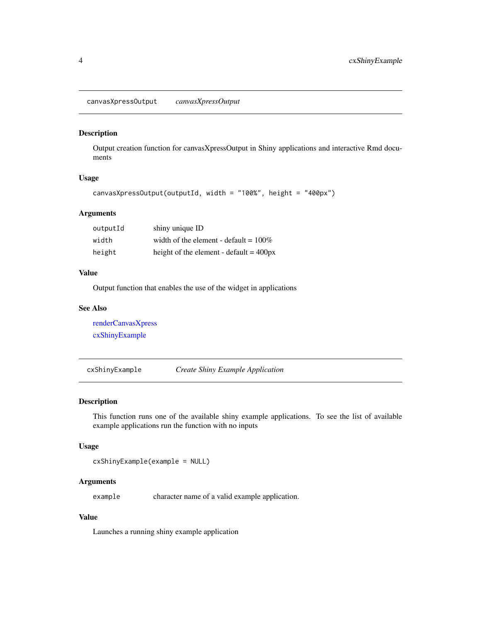<span id="page-3-2"></span><span id="page-3-0"></span>canvasXpressOutput *canvasXpressOutput*

#### Description

Output creation function for canvasXpressOutput in Shiny applications and interactive Rmd documents

#### Usage

```
canvasXpressOutput(outputId, width = "100%", height = "400px")
```
#### Arguments

| outputId | shiny unique ID                           |
|----------|-------------------------------------------|
| width    | width of the element - default = $100\%$  |
| height   | height of the element - default $= 400px$ |

#### Value

Output function that enables the use of the widget in applications

#### See Also

[renderCanvasXpress](#page-4-1) [cxShinyExample](#page-3-1)

<span id="page-3-1"></span>cxShinyExample *Create Shiny Example Application*

#### Description

This function runs one of the available shiny example applications. To see the list of available example applications run the function with no inputs

#### Usage

cxShinyExample(example = NULL)

#### Arguments

example character name of a valid example application.

#### Value

Launches a running shiny example application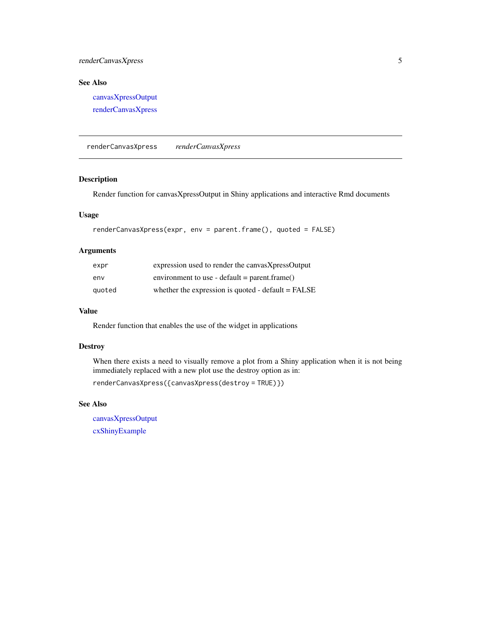#### <span id="page-4-0"></span>renderCanvasXpress 5

#### See Also

[canvasXpressOutput](#page-3-2) [renderCanvasXpress](#page-4-1)

<span id="page-4-1"></span>renderCanvasXpress *renderCanvasXpress*

#### Description

Render function for canvasXpressOutput in Shiny applications and interactive Rmd documents

#### Usage

```
renderCanvasXpress(expr, env = parent.frame(), quoted = FALSE)
```
#### Arguments

| expr   | expression used to render the canvasXpressOutput     |
|--------|------------------------------------------------------|
| env    | environment to use - default = parent.frame()        |
| quoted | whether the expression is quoted - $default = FALSE$ |

#### Value

Render function that enables the use of the widget in applications

#### **Destroy**

When there exists a need to visually remove a plot from a Shiny application when it is not being immediately replaced with a new plot use the destroy option as in:

renderCanvasXpress({canvasXpress(destroy = TRUE)})

#### See Also

[canvasXpressOutput](#page-3-2) [cxShinyExample](#page-3-1)